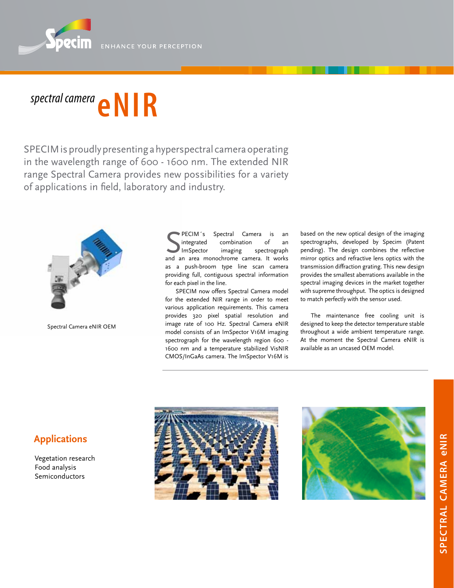

## *spectral camera* **eNIR**

SPECIM is proudly presenting a hyperspectral camera operating in the wavelength range of 600 - 1600 nm. The extended NIR range Spectral Camera provides new possibilities for a variety of applications in field, laboratory and industry.



Spectral Camera eNIR OEM

**SECIM's** Spectral Camera is an integrated combination of an Imspector imaging spectrograph<br>and an area monochrome camera. It works PECIM´s Spectral Camera is an integrated combination of an ImSpector imaging spectrograph as a push-broom type line scan camera providing full, contiguous spectral information for each pixel in the line.

SPECIM now offers Spectral Camera model for the extended NIR range in order to meet various application requirements. This camera provides 320 pixel spatial resolution and image rate of 100 Hz. Spectral Camera eNIR model consists of an ImSpector V16M imaging spectrograph for the wavelength region 600 -1600 nm and a temperature stabilized VisNIR CMOS/InGaAs camera. The ImSpector V16M is

based on the new optical design of the imaging spectrographs, developed by Specim (Patent pending). The design combines the reflective mirror optics and refractive lens optics with the transmission diffraction grating. This new design provides the smallest aberrations available in the spectral imaging devices in the market together with supreme throughput. The optics is designed to match perfectly with the sensor used.

The maintenance free cooling unit is designed to keep the detector temperature stable throughout a wide ambient temperature range. At the moment the Spectral Camera eNIR is available as an uncased OEM model.





# **spectral camera SPECTRAL CAMERA eNIR**

### **Applications**

Vegetation research Food analysis Semiconductors